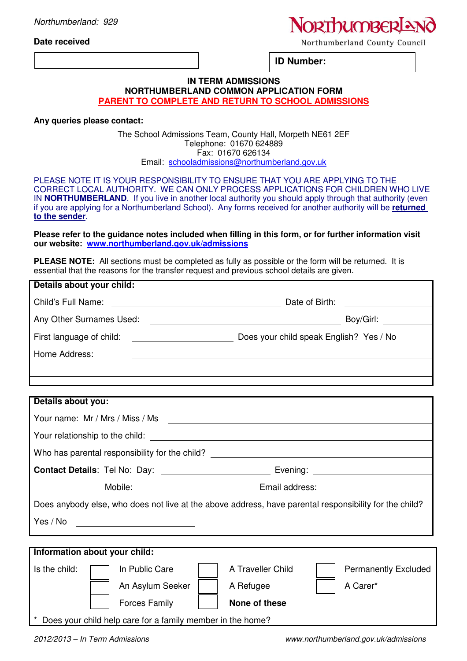**Date received** 

# **NORThumBERIA**

Northumberland County Council

**ID Number:** 

### **IN TERM ADMISSIONS NORTHUMBERLAND COMMON APPLICATION FORM PARENT TO COMPLETE AND RETURN TO SCHOOL ADMISSIONS**

**Any queries please contact:** 

#### The School Admissions Team, County Hall, Morpeth NE61 2EF Telephone: 01670 624889 Fax: 01670 626134 Email: schooladmissions@northumberland.gov.uk

PLEASE NOTE IT IS YOUR RESPONSIBILITY TO ENSURE THAT YOU ARE APPLYING TO THE CORRECT LOCAL AUTHORITY. WE CAN ONLY PROCESS APPLICATIONS FOR CHILDREN WHO LIVE IN **NORTHUMBERLAND**. If you live in another local authority you should apply through that authority (even if you are applying for a Northumberland School). Any forms received for another authority will be **returned to the sender**.

**Please refer to the guidance notes included when filling in this form, or for further information visit our website: www.northumberland.gov.uk/admissions**

**PLEASE NOTE:** All sections must be completed as fully as possible or the form will be returned. It is essential that the reasons for the transfer request and previous school details are given.

| Details about your child:                                                                              |                                                  |  |  |  |
|--------------------------------------------------------------------------------------------------------|--------------------------------------------------|--|--|--|
|                                                                                                        |                                                  |  |  |  |
| Any Other Surnames Used:                                                                               |                                                  |  |  |  |
|                                                                                                        |                                                  |  |  |  |
| Home Address:                                                                                          |                                                  |  |  |  |
|                                                                                                        |                                                  |  |  |  |
|                                                                                                        |                                                  |  |  |  |
| Details about you:                                                                                     |                                                  |  |  |  |
|                                                                                                        |                                                  |  |  |  |
|                                                                                                        |                                                  |  |  |  |
| Who has parental responsibility for the child? _________________________________                       |                                                  |  |  |  |
|                                                                                                        |                                                  |  |  |  |
| Mobile:                                                                                                |                                                  |  |  |  |
| Does anybody else, who does not live at the above address, have parental responsibility for the child? |                                                  |  |  |  |
| Yes / No                                                                                               |                                                  |  |  |  |
|                                                                                                        |                                                  |  |  |  |
| Information about your child:                                                                          |                                                  |  |  |  |
| Is the child:<br>In Public Care                                                                        | A Traveller Child<br><b>Permanently Excluded</b> |  |  |  |
| An Asylum Seeker                                                                                       | A Carer*<br>A Refugee                            |  |  |  |
| <b>Forces Family</b>                                                                                   | None of these                                    |  |  |  |
| Does your child help care for a family member in the home?                                             |                                                  |  |  |  |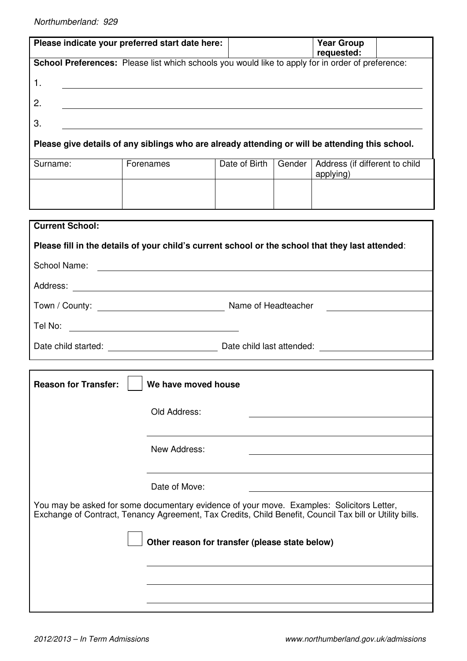|                                                                                                                                                                                                                                    | Please indicate your preferred start date here:                                                                                                                                                                                      |               |        | <b>Year Group</b><br>requested:             |  |  |
|------------------------------------------------------------------------------------------------------------------------------------------------------------------------------------------------------------------------------------|--------------------------------------------------------------------------------------------------------------------------------------------------------------------------------------------------------------------------------------|---------------|--------|---------------------------------------------|--|--|
| School Preferences: Please list which schools you would like to apply for in order of preference:                                                                                                                                  |                                                                                                                                                                                                                                      |               |        |                                             |  |  |
| 1.                                                                                                                                                                                                                                 |                                                                                                                                                                                                                                      |               |        |                                             |  |  |
| 2.                                                                                                                                                                                                                                 |                                                                                                                                                                                                                                      |               |        |                                             |  |  |
| 3.                                                                                                                                                                                                                                 | <u> 1989 - Johann Stoff, fransk politik (f. 1989)</u>                                                                                                                                                                                |               |        |                                             |  |  |
| Please give details of any siblings who are already attending or will be attending this school.                                                                                                                                    |                                                                                                                                                                                                                                      |               |        |                                             |  |  |
| Surname:                                                                                                                                                                                                                           | Forenames                                                                                                                                                                                                                            | Date of Birth | Gender | Address (if different to child<br>applying) |  |  |
|                                                                                                                                                                                                                                    |                                                                                                                                                                                                                                      |               |        |                                             |  |  |
| <b>Current School:</b>                                                                                                                                                                                                             |                                                                                                                                                                                                                                      |               |        |                                             |  |  |
|                                                                                                                                                                                                                                    | Please fill in the details of your child's current school or the school that they last attended:                                                                                                                                     |               |        |                                             |  |  |
| School Name:                                                                                                                                                                                                                       | <u> 1989 - Johann Barnett, fransk politiker (d. 1989)</u>                                                                                                                                                                            |               |        |                                             |  |  |
| Address:                                                                                                                                                                                                                           | <u> 1980 - Johann Stein, marwolaethau (b. 1980)</u>                                                                                                                                                                                  |               |        |                                             |  |  |
|                                                                                                                                                                                                                                    |                                                                                                                                                                                                                                      |               |        |                                             |  |  |
| Tel No:                                                                                                                                                                                                                            | <u>and the contract of the contract of the contract of the contract of the contract of the contract of the contract of the contract of the contract of the contract of the contract of the contract of the contract of the contr</u> |               |        |                                             |  |  |
| Date child started: <u>contract and the child astatended:</u> contract and contract and contract and contract and contract and contract and contract and contract and contract and contract and contract and contract and contract |                                                                                                                                                                                                                                      |               |        |                                             |  |  |
|                                                                                                                                                                                                                                    |                                                                                                                                                                                                                                      |               |        |                                             |  |  |
| We have moved house<br><b>Reason for Transfer:</b>                                                                                                                                                                                 |                                                                                                                                                                                                                                      |               |        |                                             |  |  |
|                                                                                                                                                                                                                                    | Old Address:                                                                                                                                                                                                                         |               |        |                                             |  |  |
|                                                                                                                                                                                                                                    |                                                                                                                                                                                                                                      |               |        |                                             |  |  |
| New Address:                                                                                                                                                                                                                       |                                                                                                                                                                                                                                      |               |        |                                             |  |  |
|                                                                                                                                                                                                                                    |                                                                                                                                                                                                                                      |               |        |                                             |  |  |
| Date of Move:                                                                                                                                                                                                                      |                                                                                                                                                                                                                                      |               |        |                                             |  |  |
| You may be asked for some documentary evidence of your move. Examples: Solicitors Letter,<br>Exchange of Contract, Tenancy Agreement, Tax Credits, Child Benefit, Council Tax bill or Utility bills.                               |                                                                                                                                                                                                                                      |               |        |                                             |  |  |
| Other reason for transfer (please state below)                                                                                                                                                                                     |                                                                                                                                                                                                                                      |               |        |                                             |  |  |
|                                                                                                                                                                                                                                    |                                                                                                                                                                                                                                      |               |        |                                             |  |  |
|                                                                                                                                                                                                                                    |                                                                                                                                                                                                                                      |               |        |                                             |  |  |
|                                                                                                                                                                                                                                    |                                                                                                                                                                                                                                      |               |        |                                             |  |  |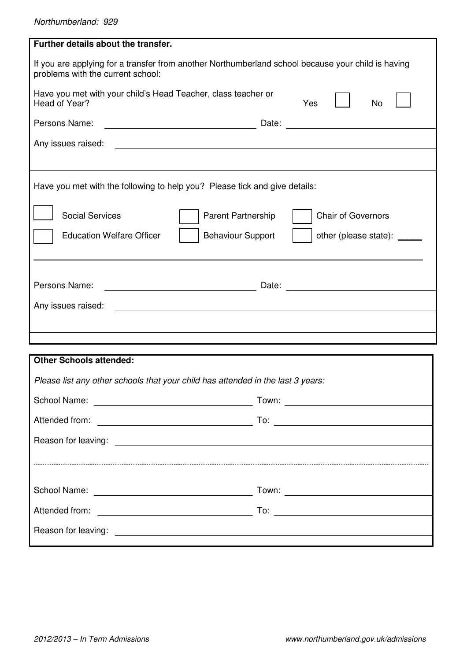| Further details about the transfer.                                                                                                                                                                                                                        |  |  |  |  |  |
|------------------------------------------------------------------------------------------------------------------------------------------------------------------------------------------------------------------------------------------------------------|--|--|--|--|--|
| If you are applying for a transfer from another Northumberland school because your child is having<br>problems with the current school:                                                                                                                    |  |  |  |  |  |
| Have you met with your child's Head Teacher, class teacher or<br>Head of Year?<br>No<br>Yes                                                                                                                                                                |  |  |  |  |  |
| Persons Name:                                                                                                                                                                                                                                              |  |  |  |  |  |
| Any issues raised:                                                                                                                                                                                                                                         |  |  |  |  |  |
| Have you met with the following to help you? Please tick and give details:                                                                                                                                                                                 |  |  |  |  |  |
| <b>Social Services</b><br><b>Chair of Governors</b><br>Parent Partnership                                                                                                                                                                                  |  |  |  |  |  |
| other (please state): _____<br><b>Education Welfare Officer</b><br><b>Behaviour Support</b>                                                                                                                                                                |  |  |  |  |  |
|                                                                                                                                                                                                                                                            |  |  |  |  |  |
| Persons Name:<br><u> 1989 - Johann Stein, marwolaethau a bhann an t-Amhainn an t-Amhainn an t-Amhainn an t-Amhainn an t-Amhainn a</u>                                                                                                                      |  |  |  |  |  |
| Any issues raised:<br><u> Andreas Andreas Andreas Andreas Andreas Andreas Andreas Andreas Andreas Andreas Andreas Andreas Andreas Andreas Andreas Andreas Andreas Andreas Andreas Andreas Andreas Andreas Andreas Andreas Andreas Andreas Andreas Andr</u> |  |  |  |  |  |
|                                                                                                                                                                                                                                                            |  |  |  |  |  |
|                                                                                                                                                                                                                                                            |  |  |  |  |  |
| <b>Other Schools attended:</b>                                                                                                                                                                                                                             |  |  |  |  |  |
| Please list any other schools that your child has attended in the last 3 years:                                                                                                                                                                            |  |  |  |  |  |
|                                                                                                                                                                                                                                                            |  |  |  |  |  |
|                                                                                                                                                                                                                                                            |  |  |  |  |  |
|                                                                                                                                                                                                                                                            |  |  |  |  |  |
|                                                                                                                                                                                                                                                            |  |  |  |  |  |
|                                                                                                                                                                                                                                                            |  |  |  |  |  |
|                                                                                                                                                                                                                                                            |  |  |  |  |  |
|                                                                                                                                                                                                                                                            |  |  |  |  |  |
|                                                                                                                                                                                                                                                            |  |  |  |  |  |